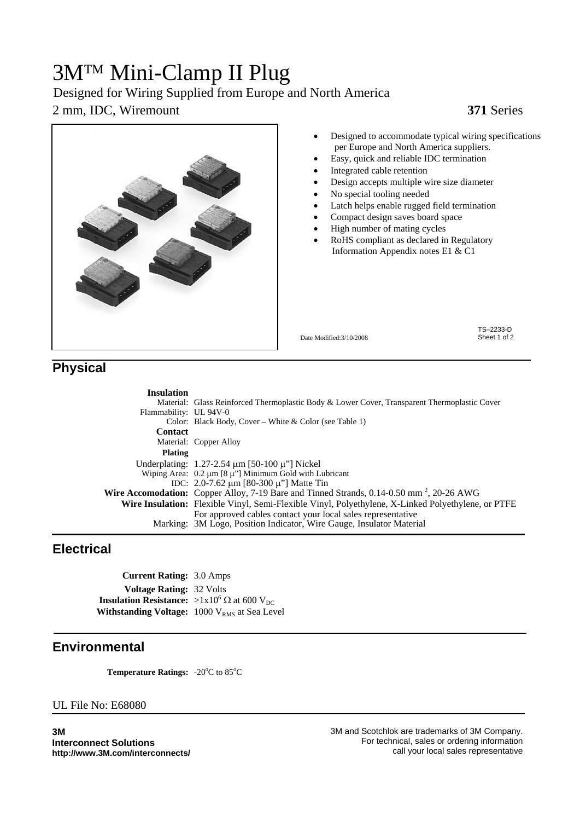# 3M™ Mini-Clamp II Plug

### Designed for Wiring Supplied from Europe and North America

#### 2 mm, IDC, Wiremount **371** Series



- Designed to accommodate typical wiring specifications per Europe and North America suppliers.
- Easy, quick and reliable IDC termination
- Integrated cable retention
- Design accepts multiple wire size diameter
- No special tooling needed
- Latch helps enable rugged field termination
- Compact design saves board space
- High number of mating cycles
- RoHS compliant as declared in Regulatory Information Appendix notes E1 & C1

Date Modified:3/10/2008

TS–2233-D Sheet 1 of 2

#### **Physical**

| <b>Insulation</b>      |                                                                                                                                     |
|------------------------|-------------------------------------------------------------------------------------------------------------------------------------|
|                        | Material: Glass Reinforced Thermoplastic Body & Lower Cover, Transparent Thermoplastic Cover                                        |
| Flammability: UL 94V-0 |                                                                                                                                     |
|                        | Color: Black Body, Cover – White & Color (see Table 1)                                                                              |
| <b>Contact</b>         |                                                                                                                                     |
|                        | Material: Copper Alloy                                                                                                              |
| <b>Plating</b>         |                                                                                                                                     |
|                        | Underplating: $1.27 - 2.54 \mu m$ [50-100 $\mu$ "] Nickel                                                                           |
|                        | Wiping Area: $0.2 \mu m$ [8 $\mu$ "] Minimum Gold with Lubricant                                                                    |
|                        | IDC: $2.0$ -7.62 $\mu$ m [80-300 $\mu$ "] Matte Tin                                                                                 |
|                        | <b>Wire Accomodation:</b> Copper Alloy, 7-19 Bare and Tinned Strands, $0.14\text{-}0.50$ mm <sup>2</sup> , 20-26 AWG                |
|                        | Wire Insulation: Flexible Vinyl, Semi-Flexible Vinyl, Polyethylene, X-Linked Polyethylene, or PTFE                                  |
|                        | For approved cables contact your local sales representative<br>Marking: 3M Logo, Position Indicator, Wire Gauge, Insulator Material |

### **Electrical**

**Current Rating:** 3.0 Amps **Voltage Rating:** 32 Volts **Insulation Resistance:** >1x10<sup>6</sup>  $\Omega$  at 600 V<sub>DC</sub> **Withstanding Voltage:** 1000 V<sub>RMS</sub> at Sea Level

#### **Environmental**

Temperature Ratings: -20°C to 85°C

#### UL File No: E68080

**3M Interconnect Solutions http://www.3M.com/interconnects/**  3M and Scotchlok are trademarks of 3M Company. For technical, sales or ordering information call your local sales representative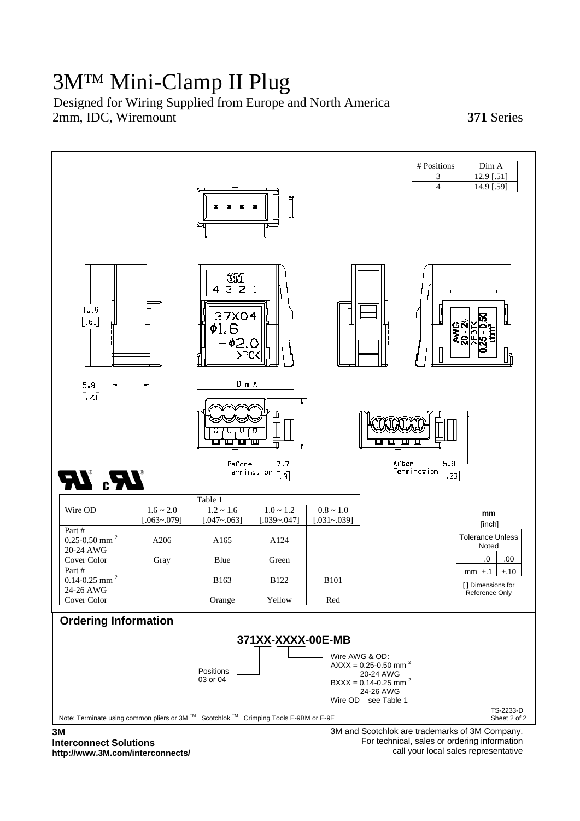# 3M™ Mini-Clamp II Plug

2mm, IDC, Wiremount **371** Series Designed for Wiring Supplied from Europe and North America



**Interconnect Solutions http://www.3M.com/interconnects/**  For technical, sales or ordering information call your local sales representative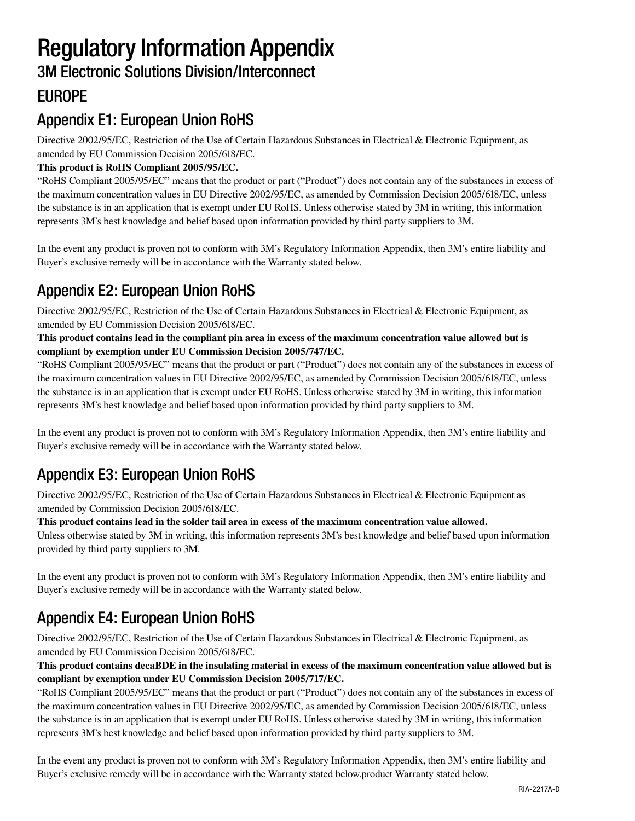# Regulatory Information Appendix

### 3M Electronic Solutions Division/Interconnect

### EUROPE

### Appendix E1: European Union RoHS

Directive 2002/95/EC, Restriction of the Use of Certain Hazardous Substances in Electrical & Electronic Equipment, as amended by EU Commission Decision 2005/618/EC.

#### **This product is RoHS Compliant 2005/95/EC.**

"RoHS Compliant 2005/95/EC" means that the product or part ("Product") does not contain any of the substances in excess of the maximum concentration values in EU Directive 2002/95/EC, as amended by Commission Decision 2005/618/EC, unless the substance is in an application that is exempt under EU RoHS. Unless otherwise stated by 3M in writing, this information represents 3M's best knowledge and belief based upon information provided by third party suppliers to 3M.

In the event any product is proven not to conform with 3M's Regulatory Information Appendix, then 3M's entire liability and Buyer's exclusive remedy will be in accordance with the Warranty stated below.

### Appendix E2: European Union RoHS

Directive 2002/95/EC, Restriction of the Use of Certain Hazardous Substances in Electrical & Electronic Equipment, as amended by EU Commission Decision 2005/618/EC.

#### **This product contains lead in the compliant pin area in excess of the maximum concentration value allowed but is compliant by exemption under EU Commission Decision 2005/747/EC.**

"RoHS Compliant 2005/95/EC" means that the product or part ("Product") does not contain any of the substances in excess of the maximum concentration values in EU Directive 2002/95/EC, as amended by Commission Decision 2005/618/EC, unless the substance is in an application that is exempt under EU RoHS. Unless otherwise stated by 3M in writing, this information represents 3M's best knowledge and belief based upon information provided by third party suppliers to 3M.

In the event any product is proven not to conform with 3M's Regulatory Information Appendix, then 3M's entire liability and Buyer's exclusive remedy will be in accordance with the Warranty stated below.

### Appendix E3: European Union RoHS

Directive 2002/95/EC, Restriction of the Use of Certain Hazardous Substances in Electrical & Electronic Equipment as amended by Commission Decision 2005/618/EC.

#### **This product contains lead in the solder tail area in excess of the maximum concentration value allowed.**

Unless otherwise stated by 3M in writing, this information represents 3M's best knowledge and belief based upon information provided by third party suppliers to 3M.

In the event any product is proven not to conform with 3M's Regulatory Information Appendix, then 3M's entire liability and Buyer's exclusive remedy will be in accordance with the Warranty stated below.

### Appendix E4: European Union RoHS

Directive 2002/95/EC, Restriction of the Use of Certain Hazardous Substances in Electrical & Electronic Equipment, as amended by EU Commission Decision 2005/618/EC.

#### **This product contains decaBDE in the insulating material in excess of the maximum concentration value allowed but is compliant by exemption under EU Commission Decision 2005/717/EC.**

"RoHS Compliant 2005/95/EC" means that the product or part ("Product") does not contain any of the substances in excess of the maximum concentration values in EU Directive 2002/95/EC, as amended by Commission Decision 2005/618/EC, unless the substance is in an application that is exempt under EU RoHS. Unless otherwise stated by 3M in writing, this information represents 3M's best knowledge and belief based upon information provided by third party suppliers to 3M.

In the event any product is proven not to conform with 3M's Regulatory Information Appendix, then 3M's entire liability and Buyer's exclusive remedy will be in accordance with the Warranty stated below.product Warranty stated below.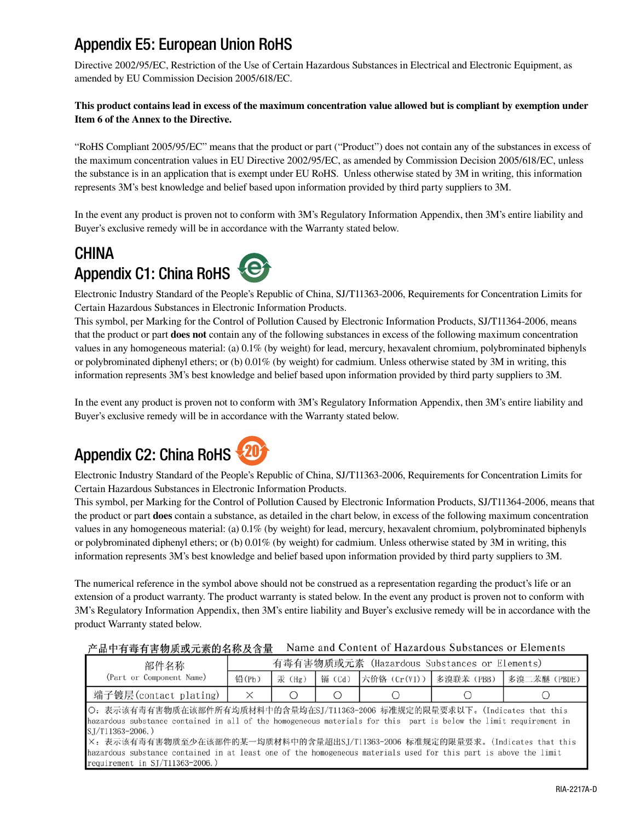### Appendix E5: European Union RoHS

Directive 2002/95/EC, Restriction of the Use of Certain Hazardous Substances in Electrical and Electronic Equipment, as amended by EU Commission Decision 2005/618/EC.

#### **This product contains lead in excess of the maximum concentration value allowed but is compliant by exemption under Item 6 of the Annex to the Directive.**

"RoHS Compliant 2005/95/EC" means that the product or part ("Product") does not contain any of the substances in excess of the maximum concentration values in EU Directive 2002/95/EC, as amended by Commission Decision 2005/618/EC, unless the substance is in an application that is exempt under EU RoHS. Unless otherwise stated by 3M in writing, this information represents 3M's best knowledge and belief based upon information provided by third party suppliers to 3M.

In the event any product is proven not to conform with 3M's Regulatory Information Appendix, then 3M's entire liability and Buyer's exclusive remedy will be in accordance with the Warranty stated below.

### **CHINA** Appendix C1: China RoHS

Electronic Industry Standard of the People's Republic of China, SJ/T11363-2006, Requirements for Concentration Limits for Certain Hazardous Substances in Electronic Information Products.

This symbol, per Marking for the Control of Pollution Caused by Electronic Information Products, SJ/T11364-2006, means that the product or part **does not** contain any of the following substances in excess of the following maximum concentration values in any homogeneous material: (a) 0.1% (by weight) for lead, mercury, hexavalent chromium, polybrominated biphenyls or polybrominated diphenyl ethers; or (b) 0.01% (by weight) for cadmium. Unless otherwise stated by 3M in writing, this information represents 3M's best knowledge and belief based upon information provided by third party suppliers to 3M.

In the event any product is proven not to conform with 3M's Regulatory Information Appendix, then 3M's entire liability and Buyer's exclusive remedy will be in accordance with the Warranty stated below.

# Appendix C2: China RoHS

Electronic Industry Standard of the People's Republic of China, SJ/T11363-2006, Requirements for Concentration Limits for Certain Hazardous Substances in Electronic Information Products.

This symbol, per Marking for the Control of Pollution Caused by Electronic Information Products, SJ/T11364-2006, means that the product or part **does** contain a substance, as detailed in the chart below, in excess of the following maximum concentration values in any homogeneous material: (a) 0.1% (by weight) for lead, mercury, hexavalent chromium, polybrominated biphenyls or polybrominated diphenyl ethers; or (b) 0.01% (by weight) for cadmium. Unless otherwise stated by 3M in writing, this information represents 3M's best knowledge and belief based upon information provided by third party suppliers to 3M.

The numerical reference in the symbol above should not be construed as a representation regarding the product's life or an extension of a product warranty. The product warranty is stated below. In the event any product is proven not to conform with 3M's Regulatory Information Appendix, then 3M's entire liability and Buyer's exclusive remedy will be in accordance with the product Warranty stated below.

#### 产品中有毒有害物质或元素的名称及含量 Name and Content of Hazardous Substances or Elements

| 部件名称                                                                                                                                                                                                                                                                                                                                                                                                                                                           | 有毒有害物质或元素(Hazardous Substances or Elements) |        |       |                           |  |              |  |  |  |
|----------------------------------------------------------------------------------------------------------------------------------------------------------------------------------------------------------------------------------------------------------------------------------------------------------------------------------------------------------------------------------------------------------------------------------------------------------------|---------------------------------------------|--------|-------|---------------------------|--|--------------|--|--|--|
| (Part or Component Name)                                                                                                                                                                                                                                                                                                                                                                                                                                       | 铅(Pb)                                       | 汞 (Hg) | 镉(Cd) | │六价铬 (Cr(VI))│ 多溴联苯 (PBB) |  | 多溴二苯醚 (PBDE) |  |  |  |
| 端子镀层(contact plating)                                                                                                                                                                                                                                                                                                                                                                                                                                          | $\times$                                    |        | O     |                           |  |              |  |  |  |
| ○: 表示该有毒有害物质在该部件所有均质材料中的含量均在SJ/T11363-2006 标准规定的限量要求以下。(Indicates that this<br>hazardous substance contained in all of the homogeneous materials for this part is below the limit requirement in<br>SJ/T11363-2006.)<br>X: 表示该有毒有害物质至少在该部件的某一均质材料中的含量超出SJ/T11363-2006 标准规定的限量要求。(Indicates that this<br>hazardous substance contained in at least one of the homogeneous materials used for this part is above the limit<br>requirement in $SI/T11363-2006.$ ) |                                             |        |       |                           |  |              |  |  |  |